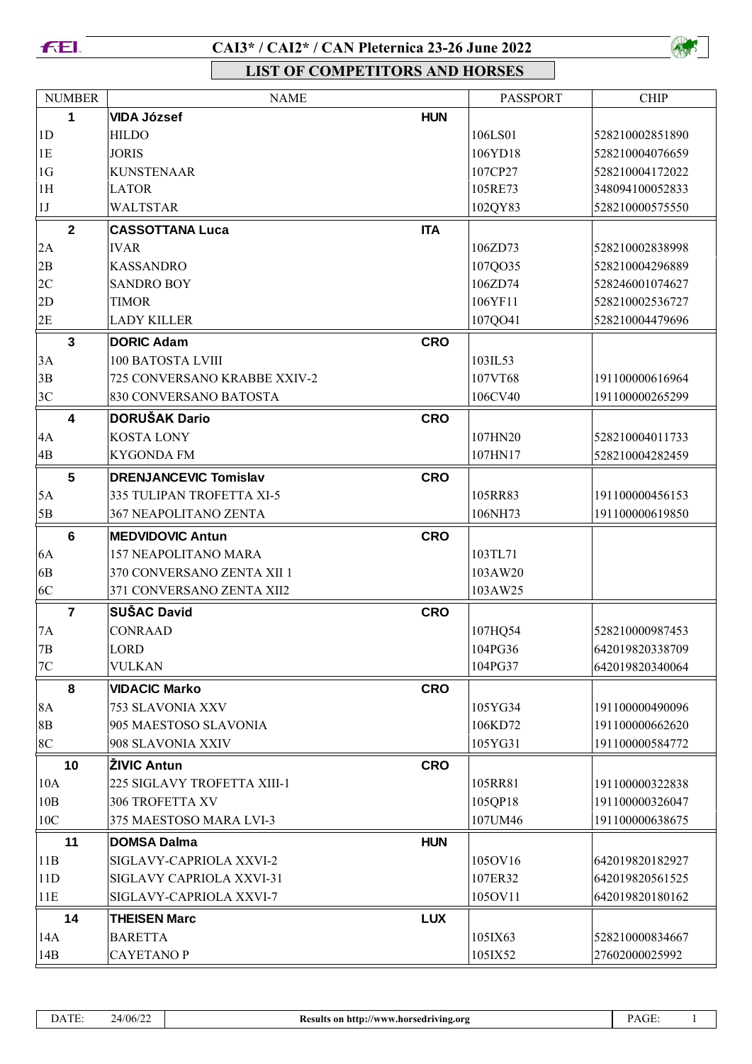

## CAI3\* / CAI2\* / CAN Pleternica 23-26 June 2022



**LIST OF COMPETITORS AND HORSES** 

| <b>NUMBER</b>  | <b>NAME</b>                  |            | <b>PASSPORT</b> | <b>CHIP</b>     |
|----------------|------------------------------|------------|-----------------|-----------------|
| 1              | <b>VIDA József</b>           | <b>HUN</b> |                 |                 |
| 1 <sub>D</sub> | <b>HILDO</b>                 |            | 106LS01         | 528210002851890 |
| 1E             | <b>JORIS</b>                 |            | 106YD18         | 528210004076659 |
| 1 <sub>G</sub> | <b>KUNSTENAAR</b>            |            | 107CP27         | 528210004172022 |
| 1H             | <b>LATOR</b>                 |            | 105RE73         | 348094100052833 |
| 1J             | <b>WALTSTAR</b>              |            | 102QY83         | 528210000575550 |
| $\mathbf{2}$   | <b>CASSOTTANA Luca</b>       | <b>ITA</b> |                 |                 |
| 2A             | <b>IVAR</b>                  |            | 106ZD73         | 528210002838998 |
| 2B             | <b>KASSANDRO</b>             |            | 107QO35         | 528210004296889 |
| 2C             | <b>SANDRO BOY</b>            |            | 106ZD74         | 528246001074627 |
| 2D             | <b>TIMOR</b>                 |            | 106YF11         | 528210002536727 |
| 2E             | <b>LADY KILLER</b>           |            | 107QO41         | 528210004479696 |
| $\mathbf{3}$   | <b>DORIC Adam</b>            | <b>CRO</b> |                 |                 |
| 3A             | 100 BATOSTA LVIII            |            | 103IL53         |                 |
| 3B             | 725 CONVERSANO KRABBE XXIV-2 |            | 107VT68         | 191100000616964 |
| 3C             | 830 CONVERSANO BATOSTA       |            | 106CV40         | 191100000265299 |
| 4              | <b>DORUŠAK Dario</b>         | <b>CRO</b> |                 |                 |
| 4A             | <b>KOSTA LONY</b>            |            | 107HN20         | 528210004011733 |
| 4B             | <b>KYGONDA FM</b>            |            | 107HN17         | 528210004282459 |
| 5              | <b>DRENJANCEVIC Tomislav</b> | <b>CRO</b> |                 |                 |
| 5A             | 335 TULIPAN TROFETTA XI-5    |            | 105RR83         | 191100000456153 |
| 5B             | 367 NEAPOLITANO ZENTA        |            | 106NH73         | 191100000619850 |
| $6\phantom{1}$ | <b>MEDVIDOVIC Antun</b>      | <b>CRO</b> |                 |                 |
| 6A             | 157 NEAPOLITANO MARA         |            | 103TL71         |                 |
| 6 <sub>B</sub> | 370 CONVERSANO ZENTA XII 1   |            | 103AW20         |                 |
| 6C             | 371 CONVERSANO ZENTA XII2    |            | 103AW25         |                 |
| $\overline{7}$ | <b>SUŠAC David</b>           | <b>CRO</b> |                 |                 |
| 7A             | <b>CONRAAD</b>               |            | 107HQ54         | 528210000987453 |
| $7\mathrm{B}$  | LORD                         |            | 104PG36         | 642019820338709 |
| $7\mathrm{C}$  | <b>VULKAN</b>                |            | 104PG37         | 642019820340064 |
|                |                              |            |                 |                 |
| 8              | <b>VIDACIC Marko</b>         | <b>CRO</b> |                 |                 |
| 8A             | 753 SLAVONIA XXV             |            | 105YG34         | 191100000490096 |
| 8B             | 905 MAESTOSO SLAVONIA        |            | 106KD72         | 191100000662620 |
| 8C             | 908 SLAVONIA XXIV            |            | 105YG31         | 191100000584772 |
| 10             | <b>ŽIVIC Antun</b>           | <b>CRO</b> |                 |                 |
| 10A            | 225 SIGLAVY TROFETTA XIII-1  |            | 105RR81         | 191100000322838 |
| 10B            | 306 TROFETTA XV              |            | 105QP18         | 191100000326047 |
| 10C            | 375 MAESTOSO MARA LVI-3      |            | 107UM46         | 191100000638675 |
| 11             | <b>DOMSA Dalma</b>           | <b>HUN</b> |                 |                 |
| 11B            | SIGLAVY-CAPRIOLA XXVI-2      |            | 105OV16         | 642019820182927 |
| 11D            | SIGLAVY CAPRIOLA XXVI-31     |            | 107ER32         | 642019820561525 |
| 11E            | SIGLAVY-CAPRIOLA XXVI-7      |            | 105OV11         | 642019820180162 |
| 14             | <b>THEISEN Marc</b>          | <b>LUX</b> |                 |                 |
| 14A            | <b>BARETTA</b>               |            | 105IX63         | 528210000834667 |
| 14B            | <b>CAYETANOP</b>             |            | 105IX52         | 27602000025992  |

 $\,1\,$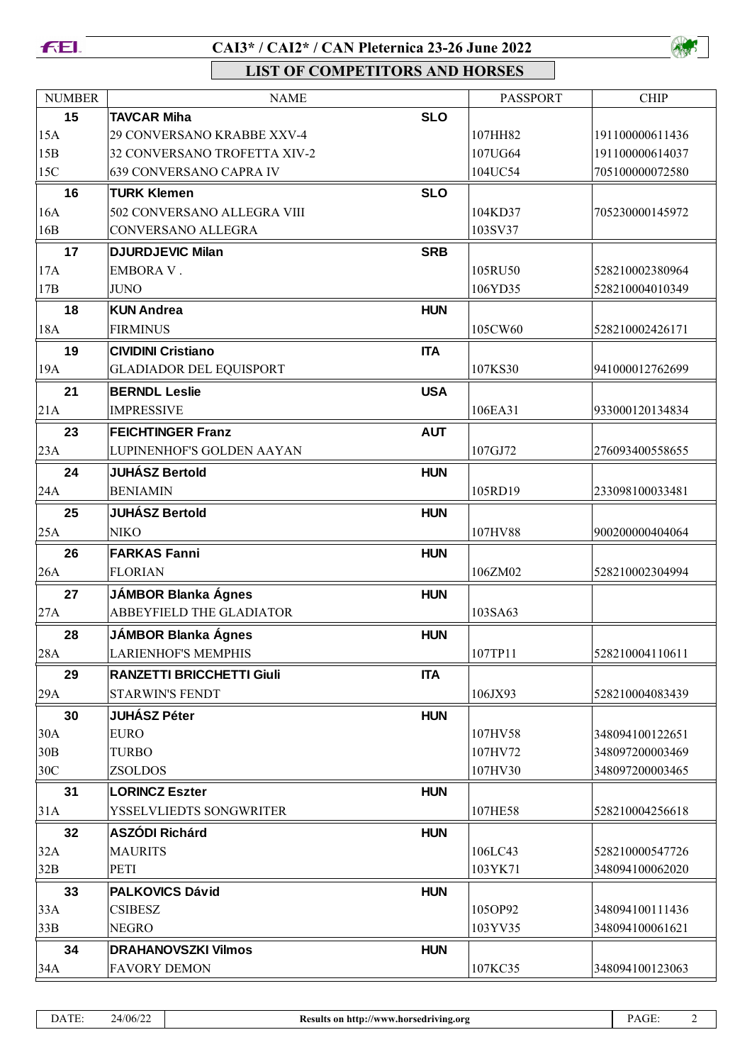

## **CAI3\* / CAI2\* / CAN Pleternica 23-26 June 2022**



**LIST OF COMPETITORS AND HORSES**

| <b>NUMBER</b> | <b>NAME</b>                                              |            | <b>PASSPORT</b>    | <b>CHIP</b>                        |
|---------------|----------------------------------------------------------|------------|--------------------|------------------------------------|
| 15            | <b>TAVCAR Miha</b>                                       | <b>SLO</b> |                    |                                    |
| 15A           | 29 CONVERSANO KRABBE XXV-4                               |            | 107HH82            | 191100000611436                    |
| 15B           | 32 CONVERSANO TROFETTA XIV-2                             |            | 107UG64            | 191100000614037                    |
| 15C           | 639 CONVERSANO CAPRA IV                                  |            | 104UC54            | 705100000072580                    |
| 16            | <b>TURK Klemen</b>                                       | <b>SLO</b> |                    |                                    |
| 16A           | 502 CONVERSANO ALLEGRA VIII                              |            | 104KD37            | 705230000145972                    |
| 16B           | CONVERSANO ALLEGRA                                       |            | 103SV37            |                                    |
| 17            | <b>DJURDJEVIC Milan</b>                                  | <b>SRB</b> |                    |                                    |
| 17A           | <b>EMBORA V.</b>                                         |            | 105RU50            | 528210002380964                    |
| 17B           | <b>JUNO</b>                                              |            | 106YD35            | 528210004010349                    |
| 18            | <b>KUN Andrea</b>                                        | <b>HUN</b> |                    |                                    |
| 18A           | <b>FIRMINUS</b>                                          |            | 105CW60            | 528210002426171                    |
| 19            | <b>CIVIDINI Cristiano</b>                                | <b>ITA</b> |                    |                                    |
| 19A           | <b>GLADIADOR DEL EQUISPORT</b>                           |            | 107KS30            | 941000012762699                    |
| 21            | <b>BERNDL Leslie</b>                                     | <b>USA</b> |                    |                                    |
| 21A           | <b>IMPRESSIVE</b>                                        |            | 106EA31            | 933000120134834                    |
| 23            | <b>FEICHTINGER Franz</b>                                 | <b>AUT</b> |                    |                                    |
| 23A           | LUPINENHOF'S GOLDEN AAYAN                                |            | 107GJ72            | 276093400558655                    |
| 24            | <b>JUHÁSZ Bertold</b>                                    | <b>HUN</b> |                    |                                    |
| 24A           | <b>BENIAMIN</b>                                          |            | 105RD19            | 233098100033481                    |
| 25            | <b>JUHÁSZ Bertold</b>                                    | <b>HUN</b> |                    |                                    |
| 25A           | <b>NIKO</b>                                              |            | 107HV88            | 900200000404064                    |
| 26            | <b>FARKAS Fanni</b>                                      | <b>HUN</b> |                    |                                    |
| 26A           | <b>FLORIAN</b>                                           |            | 106ZM02            | 528210002304994                    |
| 27            | <b>JÁMBOR Blanka Ágnes</b>                               | <b>HUN</b> |                    |                                    |
| 27A           | ABBEYFIELD THE GLADIATOR                                 |            | 103SA63            |                                    |
|               |                                                          | <b>HUN</b> |                    |                                    |
| 28<br>28A     | <b>JÁMBOR Blanka Ágnes</b><br><b>LARIENHOF'S MEMPHIS</b> |            | 107TP11            | 528210004110611                    |
|               |                                                          |            |                    |                                    |
| 29            | <b>RANZETTI BRICCHETTI Giuli</b>                         | <b>ITA</b> |                    |                                    |
| 29A           | <b>STARWIN'S FENDT</b>                                   |            | 106JX93            | 528210004083439                    |
| 30            | <b>JUHÁSZ Péter</b>                                      | <b>HUN</b> |                    |                                    |
| 30A<br>30B    | <b>EURO</b><br><b>TURBO</b>                              |            | 107HV58<br>107HV72 | 348094100122651<br>348097200003469 |
| 30C           | <b>ZSOLDOS</b>                                           |            | 107HV30            | 348097200003465                    |
| 31            | <b>LORINCZ Eszter</b>                                    | <b>HUN</b> |                    |                                    |
| 31A           | YSSELVLIEDTS SONGWRITER                                  |            | 107HE58            | 528210004256618                    |
| 32            | <b>ASZÓDI Richárd</b>                                    |            |                    |                                    |
| 32A           | <b>MAURITS</b>                                           | <b>HUN</b> | 106LC43            | 528210000547726                    |
| 32B           | PETI                                                     |            | 103YK71            | 348094100062020                    |
| 33            | <b>PALKOVICS Dávid</b>                                   | <b>HUN</b> |                    |                                    |
| 33A           | <b>CSIBESZ</b>                                           |            | 105OP92            | 348094100111436                    |
| 33B           | <b>NEGRO</b>                                             |            | 103YV35            | 348094100061621                    |
| 34            | <b>DRAHANOVSZKI Vilmos</b>                               | <b>HUN</b> |                    |                                    |
| 34A           | <b>FAVORY DEMON</b>                                      |            | 107KC35            | 348094100123063                    |
|               |                                                          |            |                    |                                    |